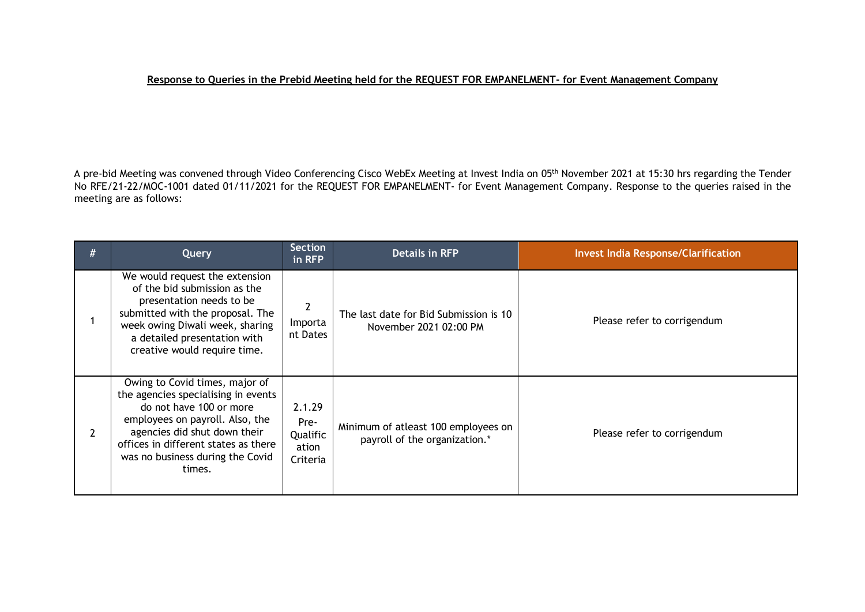## **Response to Queries in the Prebid Meeting held for the REQUEST FOR EMPANELMENT- for Event Management Company**

A pre-bid Meeting was convened through Video Conferencing Cisco WebEx Meeting at Invest India on 05 th November 2021 at 15:30 hrs regarding the Tender No RFE/21-22/MOC-1001 dated 01/11/2021 for the REQUEST FOR EMPANELMENT- for Event Management Company. Response to the queries raised in the meeting are as follows:

| # | Query                                                                                                                                                                                                                                                     | <b>Section</b><br>in RFP                        | <b>Details in RFP</b>                                                | <b>Invest India Response/Clarification</b> |
|---|-----------------------------------------------------------------------------------------------------------------------------------------------------------------------------------------------------------------------------------------------------------|-------------------------------------------------|----------------------------------------------------------------------|--------------------------------------------|
|   | We would request the extension<br>of the bid submission as the<br>presentation needs to be<br>submitted with the proposal. The<br>week owing Diwali week, sharing<br>a detailed presentation with<br>creative would require time.                         | Importa<br>nt Dates                             | The last date for Bid Submission is 10<br>November 2021 02:00 PM     | Please refer to corrigendum                |
| 2 | Owing to Covid times, major of<br>the agencies specialising in events<br>do not have 100 or more<br>employees on payroll. Also, the<br>agencies did shut down their<br>offices in different states as there<br>was no business during the Covid<br>times. | 2.1.29<br>Pre-<br>Qualific<br>ation<br>Criteria | Minimum of atleast 100 employees on<br>payroll of the organization.* | Please refer to corrigendum                |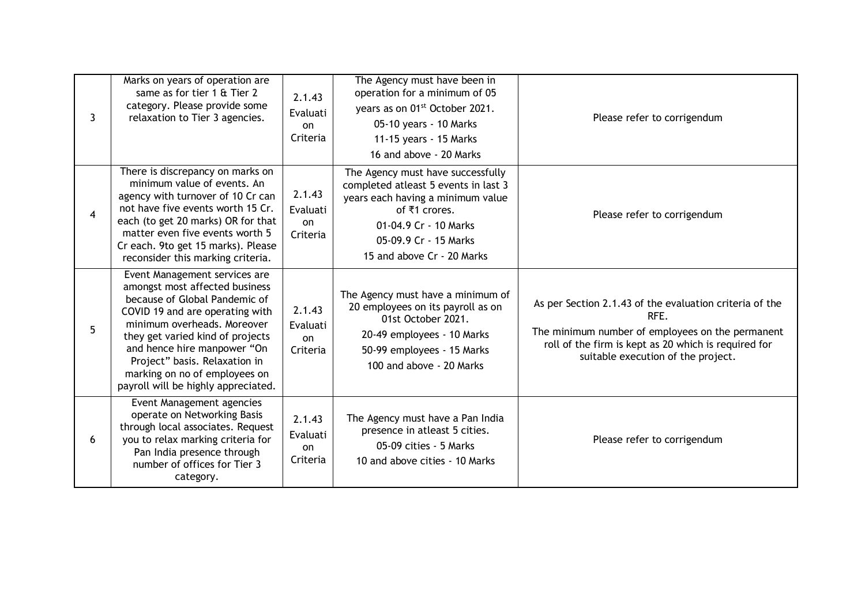| 3 | Marks on years of operation are<br>same as for tier 1 & Tier 2<br>category. Please provide some<br>relaxation to Tier 3 agencies.                                                                                                                                                                                                              | 2.1.43<br>Evaluati<br><b>on</b><br>Criteria | The Agency must have been in<br>operation for a minimum of 05<br>years as on 01 <sup>st</sup> October 2021.<br>05-10 years - 10 Marks<br>11-15 years - 15 Marks<br>16 and above - 20 Marks                      | Please refer to corrigendum                                                                                                                                                                                       |
|---|------------------------------------------------------------------------------------------------------------------------------------------------------------------------------------------------------------------------------------------------------------------------------------------------------------------------------------------------|---------------------------------------------|-----------------------------------------------------------------------------------------------------------------------------------------------------------------------------------------------------------------|-------------------------------------------------------------------------------------------------------------------------------------------------------------------------------------------------------------------|
| 4 | There is discrepancy on marks on<br>minimum value of events. An<br>agency with turnover of 10 Cr can<br>not have five events worth 15 Cr.<br>each (to get 20 marks) OR for that<br>matter even five events worth 5<br>Cr each. 9to get 15 marks). Please<br>reconsider this marking criteria.                                                  | 2.1.43<br>Evaluati<br>on<br>Criteria        | The Agency must have successfully<br>completed atleast 5 events in last 3<br>years each having a minimum value<br>of ₹1 crores.<br>01-04.9 Cr - 10 Marks<br>05-09.9 Cr - 15 Marks<br>15 and above Cr - 20 Marks | Please refer to corrigendum                                                                                                                                                                                       |
| 5 | Event Management services are<br>amongst most affected business<br>because of Global Pandemic of<br>COVID 19 and are operating with<br>minimum overheads. Moreover<br>they get varied kind of projects<br>and hence hire manpower "On<br>Project" basis. Relaxation in<br>marking on no of employees on<br>payroll will be highly appreciated. | 2.1.43<br>Evaluati<br><b>on</b><br>Criteria | The Agency must have a minimum of<br>20 employees on its payroll as on<br>01st October 2021.<br>20-49 employees - 10 Marks<br>50-99 employees - 15 Marks<br>100 and above - 20 Marks                            | As per Section 2.1.43 of the evaluation criteria of the<br>RFE.<br>The minimum number of employees on the permanent<br>roll of the firm is kept as 20 which is required for<br>suitable execution of the project. |
| 6 | Event Management agencies<br>operate on Networking Basis<br>through local associates. Request<br>you to relax marking criteria for<br>Pan India presence through<br>number of offices for Tier 3<br>category.                                                                                                                                  | 2.1.43<br>Evaluati<br>on<br>Criteria        | The Agency must have a Pan India<br>presence in atleast 5 cities.<br>05-09 cities - 5 Marks<br>10 and above cities - 10 Marks                                                                                   | Please refer to corrigendum                                                                                                                                                                                       |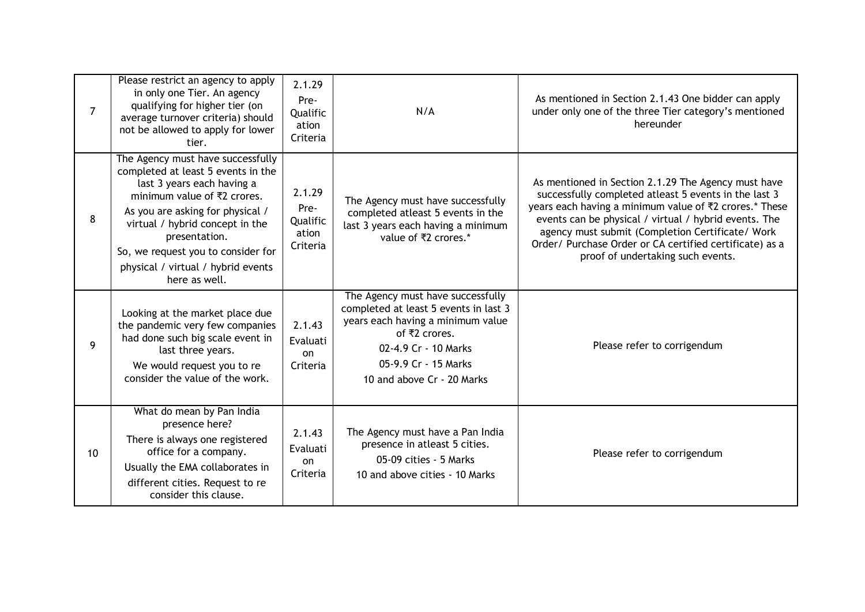| $\overline{7}$ | Please restrict an agency to apply<br>in only one Tier. An agency<br>qualifying for higher tier (on<br>average turnover criteria) should<br>not be allowed to apply for lower<br>tier.                                                                                                                                                 | 2.1.29<br>Pre-<br>Qualific<br>ation<br>Criteria | N/A                                                                                                                                                                                                            | As mentioned in Section 2.1.43 One bidder can apply<br>under only one of the three Tier category's mentioned<br>hereunder                                                                                                                                                                                                                                                           |
|----------------|----------------------------------------------------------------------------------------------------------------------------------------------------------------------------------------------------------------------------------------------------------------------------------------------------------------------------------------|-------------------------------------------------|----------------------------------------------------------------------------------------------------------------------------------------------------------------------------------------------------------------|-------------------------------------------------------------------------------------------------------------------------------------------------------------------------------------------------------------------------------------------------------------------------------------------------------------------------------------------------------------------------------------|
| 8              | The Agency must have successfully<br>completed at least 5 events in the<br>last 3 years each having a<br>minimum value of $\overline{z}2$ crores.<br>As you are asking for physical /<br>virtual / hybrid concept in the<br>presentation.<br>So, we request you to consider for<br>physical / virtual / hybrid events<br>here as well. | 2.1.29<br>Pre-<br>Qualific<br>ation<br>Criteria | The Agency must have successfully<br>completed atleast 5 events in the<br>last 3 years each having a minimum<br>value of ₹2 crores.*                                                                           | As mentioned in Section 2.1.29 The Agency must have<br>successfully completed atleast 5 events in the last 3<br>years each having a minimum value of ₹2 crores.* These<br>events can be physical / virtual / hybrid events. The<br>agency must submit (Completion Certificate/ Work<br>Order/ Purchase Order or CA certified certificate) as a<br>proof of undertaking such events. |
| 9              | Looking at the market place due<br>the pandemic very few companies<br>had done such big scale event in<br>last three years.<br>We would request you to re<br>consider the value of the work.                                                                                                                                           | 2.1.43<br>Evaluati<br>on<br>Criteria            | The Agency must have successfully<br>completed at least 5 events in last 3<br>years each having a minimum value<br>of ₹2 crores.<br>02-4.9 Cr - 10 Marks<br>05-9.9 Cr - 15 Marks<br>10 and above Cr - 20 Marks | Please refer to corrigendum                                                                                                                                                                                                                                                                                                                                                         |
| 10             | What do mean by Pan India<br>presence here?<br>There is always one registered<br>office for a company.<br>Usually the EMA collaborates in<br>different cities. Request to re<br>consider this clause.                                                                                                                                  | 2.1.43<br>Evaluati<br>on<br>Criteria            | The Agency must have a Pan India<br>presence in atleast 5 cities.<br>05-09 cities - 5 Marks<br>10 and above cities - 10 Marks                                                                                  | Please refer to corrigendum                                                                                                                                                                                                                                                                                                                                                         |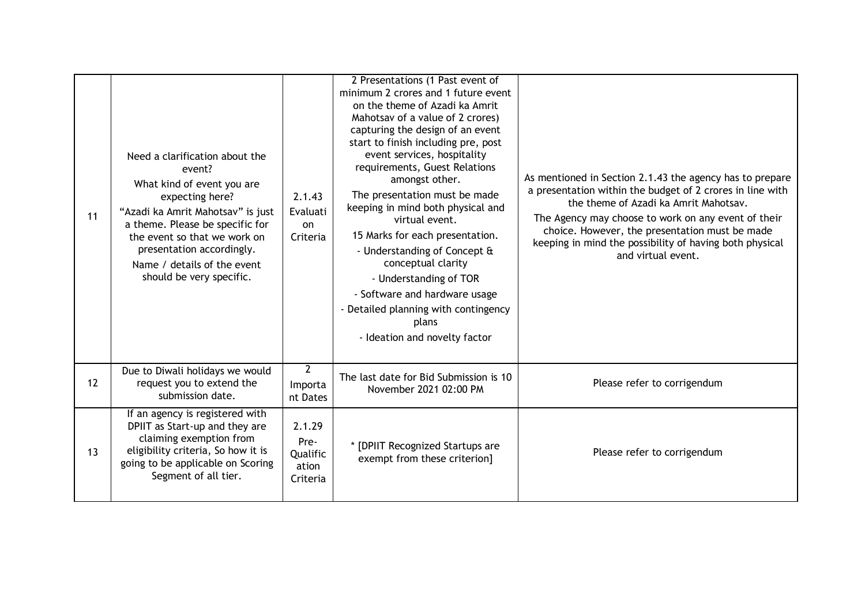| 11 | Need a clarification about the<br>event?<br>What kind of event you are<br>expecting here?<br>"Azadi ka Amrit Mahotsav" is just<br>a theme. Please be specific for<br>the event so that we work on<br>presentation accordingly.<br>Name / details of the event<br>should be very specific. | 2.1.43<br>Evaluati<br>on<br>Criteria            | 2 Presentations (1 Past event of<br>minimum 2 crores and 1 future event<br>on the theme of Azadi ka Amrit<br>Mahotsav of a value of 2 crores)<br>capturing the design of an event<br>start to finish including pre, post<br>event services, hospitality<br>requirements, Guest Relations<br>amongst other.<br>The presentation must be made<br>keeping in mind both physical and<br>virtual event.<br>15 Marks for each presentation.<br>- Understanding of Concept &<br>conceptual clarity<br>- Understanding of TOR<br>- Software and hardware usage<br>- Detailed planning with contingency<br>plans<br>- Ideation and novelty factor | As mentioned in Section 2.1.43 the agency has to prepare<br>a presentation within the budget of 2 crores in line with<br>the theme of Azadi ka Amrit Mahotsay.<br>The Agency may choose to work on any event of their<br>choice. However, the presentation must be made<br>keeping in mind the possibility of having both physical<br>and virtual event. |
|----|-------------------------------------------------------------------------------------------------------------------------------------------------------------------------------------------------------------------------------------------------------------------------------------------|-------------------------------------------------|------------------------------------------------------------------------------------------------------------------------------------------------------------------------------------------------------------------------------------------------------------------------------------------------------------------------------------------------------------------------------------------------------------------------------------------------------------------------------------------------------------------------------------------------------------------------------------------------------------------------------------------|----------------------------------------------------------------------------------------------------------------------------------------------------------------------------------------------------------------------------------------------------------------------------------------------------------------------------------------------------------|
| 12 | Due to Diwali holidays we would<br>request you to extend the<br>submission date.                                                                                                                                                                                                          | $2^{\circ}$<br>Importa<br>nt Dates              | The last date for Bid Submission is 10<br>November 2021 02:00 PM                                                                                                                                                                                                                                                                                                                                                                                                                                                                                                                                                                         | Please refer to corrigendum                                                                                                                                                                                                                                                                                                                              |
| 13 | If an agency is registered with<br>DPIIT as Start-up and they are<br>claiming exemption from<br>eligibility criteria, So how it is<br>going to be applicable on Scoring<br>Segment of all tier.                                                                                           | 2.1.29<br>Pre-<br>Qualific<br>ation<br>Criteria | * [DPIIT Recognized Startups are<br>exempt from these criterion]                                                                                                                                                                                                                                                                                                                                                                                                                                                                                                                                                                         | Please refer to corrigendum                                                                                                                                                                                                                                                                                                                              |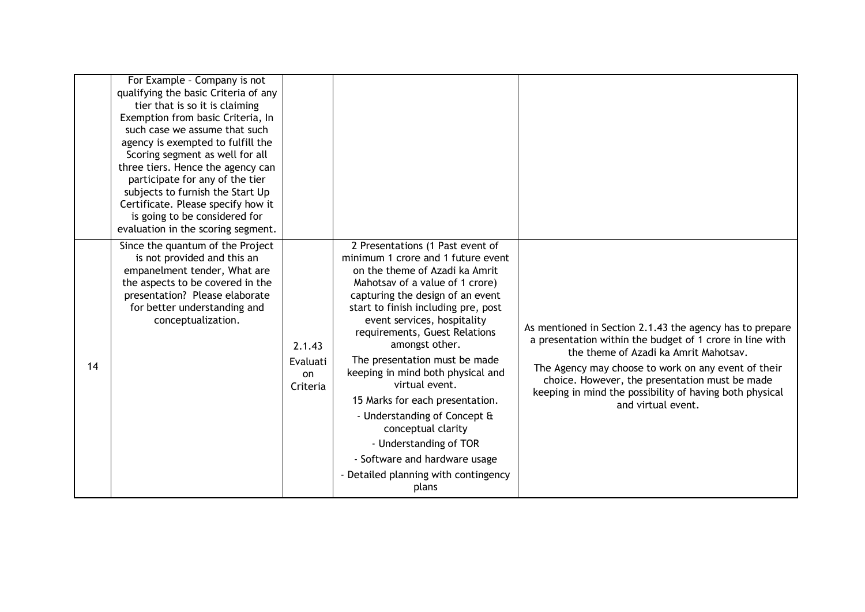|    | For Example - Company is not<br>qualifying the basic Criteria of any<br>tier that is so it is claiming<br>Exemption from basic Criteria, In<br>such case we assume that such<br>agency is exempted to fulfill the<br>Scoring segment as well for all<br>three tiers. Hence the agency can<br>participate for any of the tier<br>subjects to furnish the Start Up<br>Certificate. Please specify how it<br>is going to be considered for<br>evaluation in the scoring segment. |                                             |                                                                                                                                                                                                                                                                                                                                                                                                                                                                                                                                                                                                       |                                                                                                                                                                                                                                                                                                                                                         |
|----|-------------------------------------------------------------------------------------------------------------------------------------------------------------------------------------------------------------------------------------------------------------------------------------------------------------------------------------------------------------------------------------------------------------------------------------------------------------------------------|---------------------------------------------|-------------------------------------------------------------------------------------------------------------------------------------------------------------------------------------------------------------------------------------------------------------------------------------------------------------------------------------------------------------------------------------------------------------------------------------------------------------------------------------------------------------------------------------------------------------------------------------------------------|---------------------------------------------------------------------------------------------------------------------------------------------------------------------------------------------------------------------------------------------------------------------------------------------------------------------------------------------------------|
| 14 | Since the quantum of the Project<br>is not provided and this an<br>empanelment tender, What are<br>the aspects to be covered in the<br>presentation? Please elaborate<br>for better understanding and<br>conceptualization.                                                                                                                                                                                                                                                   | 2.1.43<br>Evaluati<br><b>on</b><br>Criteria | 2 Presentations (1 Past event of<br>minimum 1 crore and 1 future event<br>on the theme of Azadi ka Amrit<br>Mahotsav of a value of 1 crore)<br>capturing the design of an event<br>start to finish including pre, post<br>event services, hospitality<br>requirements, Guest Relations<br>amongst other.<br>The presentation must be made<br>keeping in mind both physical and<br>virtual event.<br>15 Marks for each presentation.<br>- Understanding of Concept &<br>conceptual clarity<br>- Understanding of TOR<br>- Software and hardware usage<br>- Detailed planning with contingency<br>plans | As mentioned in Section 2.1.43 the agency has to prepare<br>a presentation within the budget of 1 crore in line with<br>the theme of Azadi ka Amrit Mahotsay.<br>The Agency may choose to work on any event of their<br>choice. However, the presentation must be made<br>keeping in mind the possibility of having both physical<br>and virtual event. |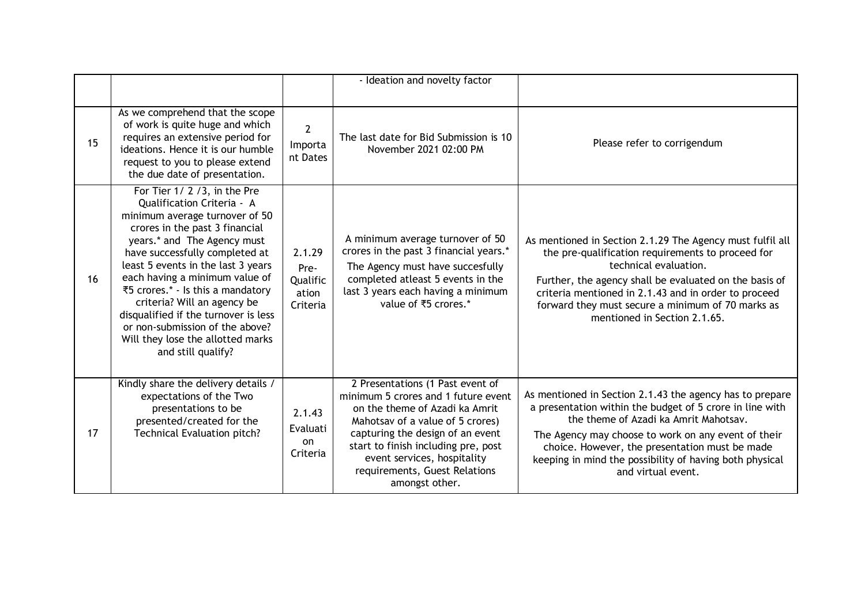|    |                                                                                                                                                                                                                                                                                                                                                                                                                                                                                 |                                                 | - Ideation and novelty factor                                                                                                                                                                                                                                                                              |                                                                                                                                                                                                                                                                                                                                                         |
|----|---------------------------------------------------------------------------------------------------------------------------------------------------------------------------------------------------------------------------------------------------------------------------------------------------------------------------------------------------------------------------------------------------------------------------------------------------------------------------------|-------------------------------------------------|------------------------------------------------------------------------------------------------------------------------------------------------------------------------------------------------------------------------------------------------------------------------------------------------------------|---------------------------------------------------------------------------------------------------------------------------------------------------------------------------------------------------------------------------------------------------------------------------------------------------------------------------------------------------------|
| 15 | As we comprehend that the scope<br>of work is quite huge and which<br>requires an extensive period for<br>ideations. Hence it is our humble<br>request to you to please extend<br>the due date of presentation.                                                                                                                                                                                                                                                                 | $\overline{2}$<br>Importa<br>nt Dates           | The last date for Bid Submission is 10<br>November 2021 02:00 PM                                                                                                                                                                                                                                           | Please refer to corrigendum                                                                                                                                                                                                                                                                                                                             |
| 16 | For Tier 1/2/3, in the Pre<br>Qualification Criteria - A<br>minimum average turnover of 50<br>crores in the past 3 financial<br>years.* and The Agency must<br>have successfully completed at<br>least 5 events in the last 3 years<br>each having a minimum value of<br>₹5 crores.* - Is this a mandatory<br>criteria? Will an agency be<br>disqualified if the turnover is less<br>or non-submission of the above?<br>Will they lose the allotted marks<br>and still qualify? | 2.1.29<br>Pre-<br>Qualific<br>ation<br>Criteria | A minimum average turnover of 50<br>crores in the past 3 financial years.*<br>The Agency must have succesfully<br>completed atleast 5 events in the<br>last 3 years each having a minimum<br>value of ₹5 crores.*                                                                                          | As mentioned in Section 2.1.29 The Agency must fulfil all<br>the pre-qualification requirements to proceed for<br>technical evaluation.<br>Further, the agency shall be evaluated on the basis of<br>criteria mentioned in 2.1.43 and in order to proceed<br>forward they must secure a minimum of 70 marks as<br>mentioned in Section 2.1.65.          |
| 17 | Kindly share the delivery details /<br>expectations of the Two<br>presentations to be<br>presented/created for the<br><b>Technical Evaluation pitch?</b>                                                                                                                                                                                                                                                                                                                        | 2.1.43<br>Evaluati<br>on<br>Criteria            | 2 Presentations (1 Past event of<br>minimum 5 crores and 1 future event<br>on the theme of Azadi ka Amrit<br>Mahotsav of a value of 5 crores)<br>capturing the design of an event<br>start to finish including pre, post<br>event services, hospitality<br>requirements, Guest Relations<br>amongst other. | As mentioned in Section 2.1.43 the agency has to prepare<br>a presentation within the budget of 5 crore in line with<br>the theme of Azadi ka Amrit Mahotsav.<br>The Agency may choose to work on any event of their<br>choice. However, the presentation must be made<br>keeping in mind the possibility of having both physical<br>and virtual event. |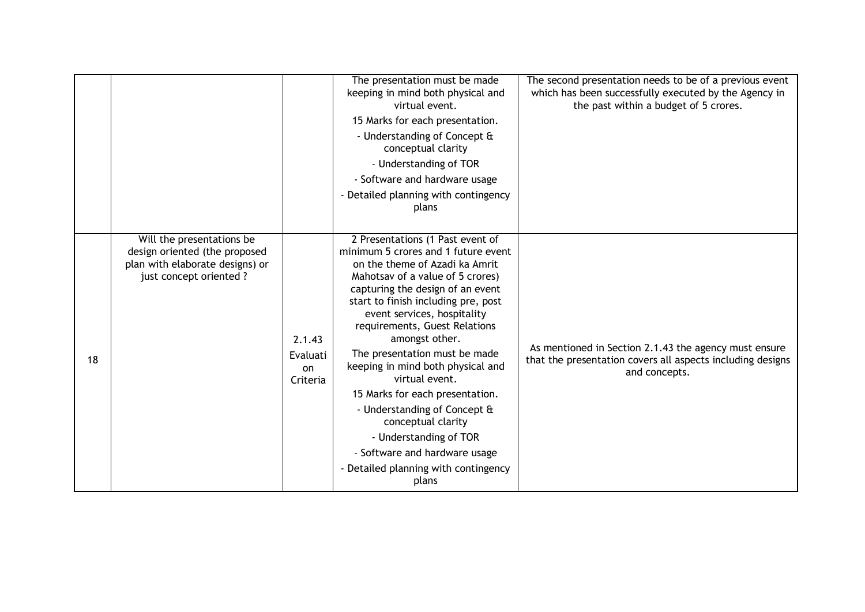|    |                                                                                                                          |                                      | The presentation must be made<br>keeping in mind both physical and<br>virtual event.<br>15 Marks for each presentation.<br>- Understanding of Concept &<br>conceptual clarity<br>- Understanding of TOR<br>- Software and hardware usage<br>- Detailed planning with contingency<br>plans                                                                                                                                                                                                                                                                                                               | The second presentation needs to be of a previous event<br>which has been successfully executed by the Agency in<br>the past within a budget of 5 crores. |
|----|--------------------------------------------------------------------------------------------------------------------------|--------------------------------------|---------------------------------------------------------------------------------------------------------------------------------------------------------------------------------------------------------------------------------------------------------------------------------------------------------------------------------------------------------------------------------------------------------------------------------------------------------------------------------------------------------------------------------------------------------------------------------------------------------|-----------------------------------------------------------------------------------------------------------------------------------------------------------|
| 18 | Will the presentations be<br>design oriented (the proposed<br>plan with elaborate designs) or<br>just concept oriented ? | 2.1.43<br>Evaluati<br>on<br>Criteria | 2 Presentations (1 Past event of<br>minimum 5 crores and 1 future event<br>on the theme of Azadi ka Amrit<br>Mahotsav of a value of 5 crores)<br>capturing the design of an event<br>start to finish including pre, post<br>event services, hospitality<br>requirements, Guest Relations<br>amongst other.<br>The presentation must be made<br>keeping in mind both physical and<br>virtual event.<br>15 Marks for each presentation.<br>- Understanding of Concept &<br>conceptual clarity<br>- Understanding of TOR<br>- Software and hardware usage<br>- Detailed planning with contingency<br>plans | As mentioned in Section 2.1.43 the agency must ensure<br>that the presentation covers all aspects including designs<br>and concepts.                      |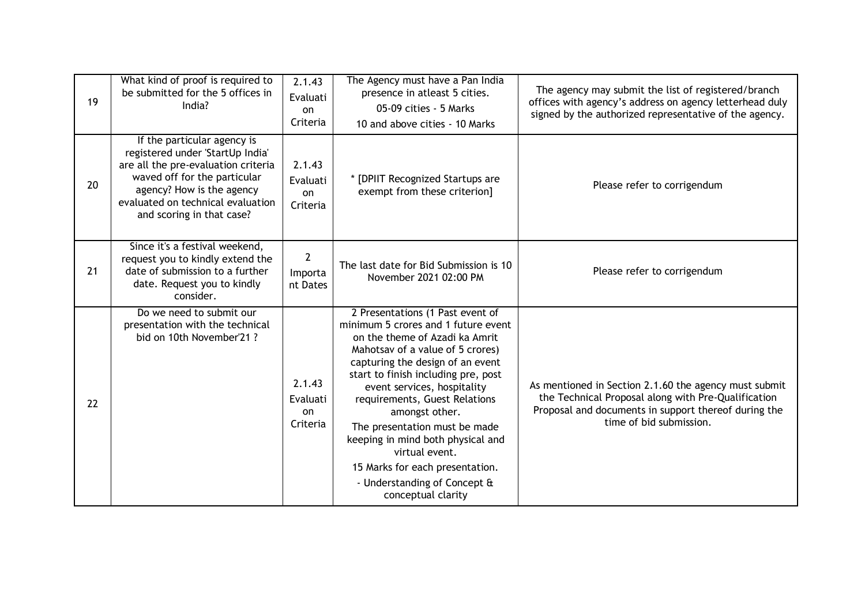| 19 | What kind of proof is required to<br>be submitted for the 5 offices in<br>India?                                                                                                                                                      | 2.1.43<br>Evaluati<br>on<br>Criteria | The Agency must have a Pan India<br>presence in atleast 5 cities.<br>05-09 cities - 5 Marks<br>10 and above cities - 10 Marks                                                                                                                                                                                                                                                                                                                                                               | The agency may submit the list of registered/branch<br>offices with agency's address on agency letterhead duly<br>signed by the authorized representative of the agency.                        |
|----|---------------------------------------------------------------------------------------------------------------------------------------------------------------------------------------------------------------------------------------|--------------------------------------|---------------------------------------------------------------------------------------------------------------------------------------------------------------------------------------------------------------------------------------------------------------------------------------------------------------------------------------------------------------------------------------------------------------------------------------------------------------------------------------------|-------------------------------------------------------------------------------------------------------------------------------------------------------------------------------------------------|
| 20 | If the particular agency is<br>registered under 'StartUp India'<br>are all the pre-evaluation criteria<br>waved off for the particular<br>agency? How is the agency<br>evaluated on technical evaluation<br>and scoring in that case? | 2.1.43<br>Evaluati<br>on<br>Criteria | * [DPIIT Recognized Startups are<br>exempt from these criterion]                                                                                                                                                                                                                                                                                                                                                                                                                            | Please refer to corrigendum                                                                                                                                                                     |
| 21 | Since it's a festival weekend,<br>request you to kindly extend the<br>date of submission to a further<br>date. Request you to kindly<br>consider.                                                                                     | $\mathbf{2}$<br>Importa<br>nt Dates  | The last date for Bid Submission is 10<br>November 2021 02:00 PM                                                                                                                                                                                                                                                                                                                                                                                                                            | Please refer to corrigendum                                                                                                                                                                     |
| 22 | Do we need to submit our<br>presentation with the technical<br>bid on 10th November'21?                                                                                                                                               | 2.1.43<br>Evaluati<br>on<br>Criteria | 2 Presentations (1 Past event of<br>minimum 5 crores and 1 future event<br>on the theme of Azadi ka Amrit<br>Mahotsav of a value of 5 crores)<br>capturing the design of an event<br>start to finish including pre, post<br>event services, hospitality<br>requirements, Guest Relations<br>amongst other.<br>The presentation must be made<br>keeping in mind both physical and<br>virtual event.<br>15 Marks for each presentation.<br>- Understanding of Concept &<br>conceptual clarity | As mentioned in Section 2.1.60 the agency must submit<br>the Technical Proposal along with Pre-Qualification<br>Proposal and documents in support thereof during the<br>time of bid submission. |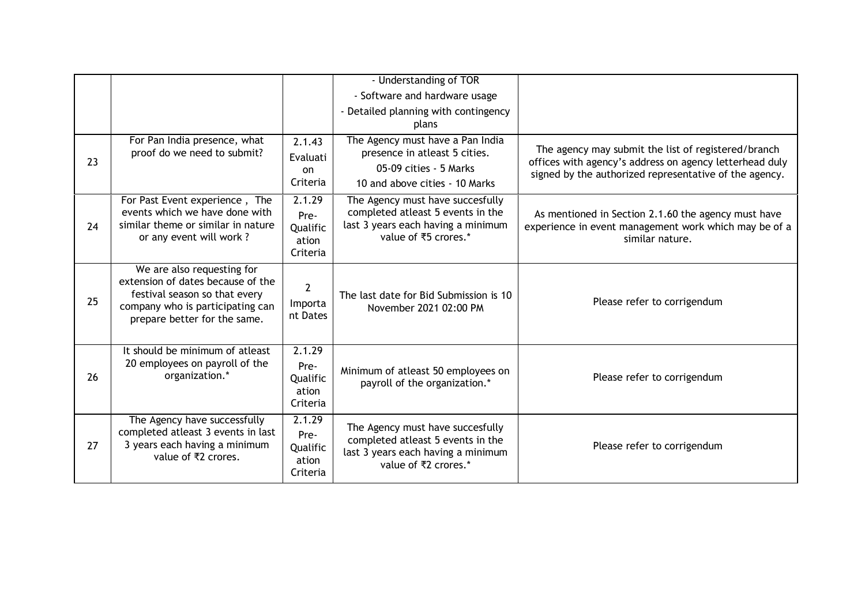|    |                                                                                                                                                                      |                                                 | - Understanding of TOR<br>- Software and hardware usage<br>- Detailed planning with contingency<br>plans                            |                                                                                                                                                                          |
|----|----------------------------------------------------------------------------------------------------------------------------------------------------------------------|-------------------------------------------------|-------------------------------------------------------------------------------------------------------------------------------------|--------------------------------------------------------------------------------------------------------------------------------------------------------------------------|
| 23 | For Pan India presence, what<br>proof do we need to submit?                                                                                                          | 2.1.43<br>Evaluati<br>on<br>Criteria            | The Agency must have a Pan India<br>presence in atleast 5 cities.<br>05-09 cities - 5 Marks<br>10 and above cities - 10 Marks       | The agency may submit the list of registered/branch<br>offices with agency's address on agency letterhead duly<br>signed by the authorized representative of the agency. |
| 24 | For Past Event experience, The<br>events which we have done with<br>similar theme or similar in nature<br>or any event will work?                                    | 2.1.29<br>Pre-<br>Qualific<br>ation<br>Criteria | The Agency must have succesfully<br>completed atleast 5 events in the<br>last 3 years each having a minimum<br>value of ₹5 crores.* | As mentioned in Section 2.1.60 the agency must have<br>experience in event management work which may be of a<br>similar nature.                                          |
| 25 | We are also requesting for<br>extension of dates because of the<br>festival season so that every<br>company who is participating can<br>prepare better for the same. | $\overline{2}$<br>Importa<br>nt Dates           | The last date for Bid Submission is 10<br>November 2021 02:00 PM                                                                    | Please refer to corrigendum                                                                                                                                              |
| 26 | It should be minimum of atleast<br>20 employees on payroll of the<br>organization.*                                                                                  | 2.1.29<br>Pre-<br>Qualific<br>ation<br>Criteria | Minimum of atleast 50 employees on<br>payroll of the organization.*                                                                 | Please refer to corrigendum                                                                                                                                              |
| 27 | The Agency have successfully<br>completed atleast 3 events in last<br>3 years each having a minimum<br>value of ₹2 crores.                                           | 2.1.29<br>Pre-<br>Qualific<br>ation<br>Criteria | The Agency must have succesfully<br>completed atleast 5 events in the<br>last 3 years each having a minimum<br>value of ₹2 crores.* | Please refer to corrigendum                                                                                                                                              |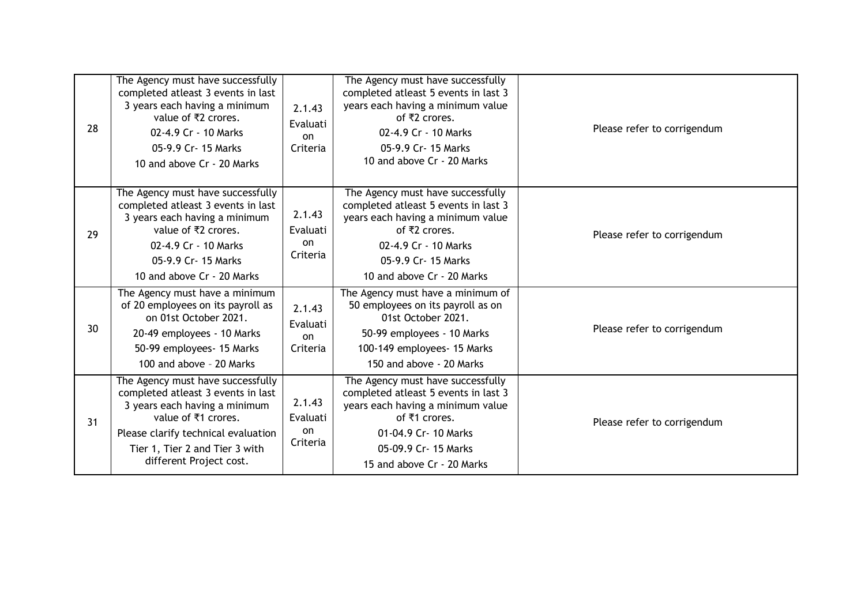| 28 | The Agency must have successfully<br>completed atleast 3 events in last<br>3 years each having a minimum<br>value of ₹2 crores.<br>02-4.9 Cr - 10 Marks<br>05-9.9 Cr- 15 Marks<br>10 and above Cr - 20 Marks                        | 2.1.43<br>Evaluati<br>on<br>Criteria | The Agency must have successfully<br>completed atleast 5 events in last 3<br>years each having a minimum value<br>of ₹2 crores.<br>02-4.9 Cr - 10 Marks<br>05-9.9 Cr- 15 Marks<br>10 and above Cr - 20 Marks  | Please refer to corrigendum |
|----|-------------------------------------------------------------------------------------------------------------------------------------------------------------------------------------------------------------------------------------|--------------------------------------|---------------------------------------------------------------------------------------------------------------------------------------------------------------------------------------------------------------|-----------------------------|
| 29 | The Agency must have successfully<br>completed atleast 3 events in last<br>3 years each having a minimum<br>value of ₹2 crores.<br>02-4.9 Cr - 10 Marks<br>05-9.9 Cr- 15 Marks<br>10 and above Cr - 20 Marks                        | 2.1.43<br>Evaluati<br>on<br>Criteria | The Agency must have successfully<br>completed atleast 5 events in last 3<br>years each having a minimum value<br>of ₹2 crores.<br>02-4.9 Cr - 10 Marks<br>05-9.9 Cr- 15 Marks<br>10 and above Cr - 20 Marks  | Please refer to corrigendum |
| 30 | The Agency must have a minimum<br>of 20 employees on its payroll as<br>on 01st October 2021.<br>20-49 employees - 10 Marks<br>50-99 employees- 15 Marks<br>100 and above - 20 Marks                                                 | 2.1.43<br>Evaluati<br>on<br>Criteria | The Agency must have a minimum of<br>50 employees on its payroll as on<br>01st October 2021.<br>50-99 employees - 10 Marks<br>100-149 employees- 15 Marks<br>150 and above - 20 Marks                         | Please refer to corrigendum |
| 31 | The Agency must have successfully<br>completed atleast 3 events in last<br>3 years each having a minimum<br>value of ₹1 crores.<br>Please clarify technical evaluation<br>Tier 1, Tier 2 and Tier 3 with<br>different Project cost. | 2.1.43<br>Evaluati<br>on<br>Criteria | The Agency must have successfully<br>completed atleast 5 events in last 3<br>years each having a minimum value<br>of ₹1 crores.<br>01-04.9 Cr- 10 Marks<br>05-09.9 Cr- 15 Marks<br>15 and above Cr - 20 Marks | Please refer to corrigendum |